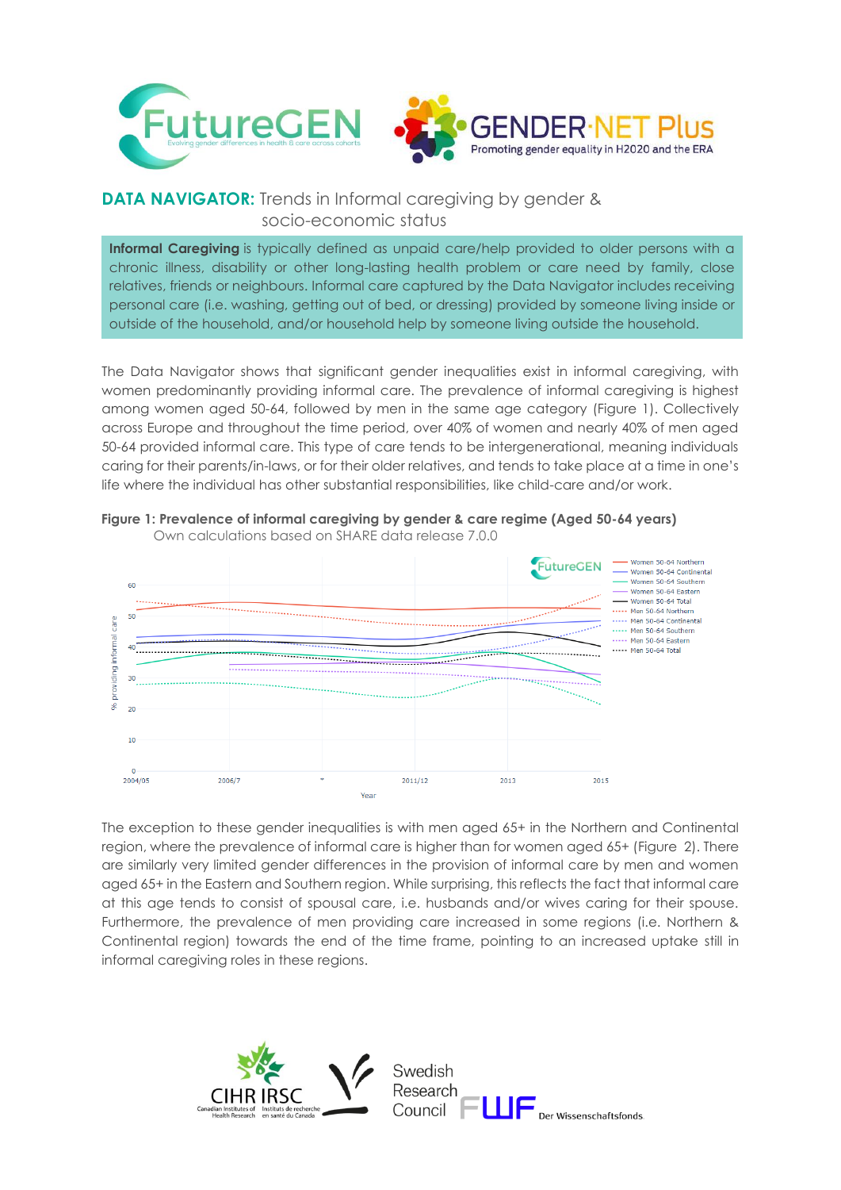

## **DATA NAVIGATOR:** Trends in Informal caregiving by gender & socio-economic status

**Informal Caregiving** is typically defined as unpaid care/help provided to older persons with a chronic illness, disability or other long-lasting health problem or care need by family, close relatives, friends or neighbours. Informal care captured by the Data Navigator includes receiving personal care (i.e. washing, getting out of bed, or dressing) provided by someone living inside or outside of the household, and/or household help by someone living outside the household.

The Data Navigator shows that significant gender inequalities exist in informal caregiving, with women predominantly providing informal care. The prevalence of informal caregiving is highest among women aged 50-64, followed by men in the same age category (Figure 1). Collectively across Europe and throughout the time period, over 40% of women and nearly 40% of men aged 50-64 provided informal care. This type of care tends to be intergenerational, meaning individuals caring for their parents/in-laws, or for their older relatives, and tends to take place at a time in one's life where the individual has other substantial responsibilities, like child-care and/or work.



**Figure 1: Prevalence of informal caregiving by gender & care regime (Aged 50-64 years)** Own calculations based on SHARE data release 7.0.0

The exception to these gender inequalities is with men aged 65+ in the Northern and Continental region, where the prevalence of informal care is higher than for women aged 65+ (Figure 2). There are similarly very limited gender differences in the provision of informal care by men and women aged 65+ in the Eastern and Southern region. While surprising, this reflects the fact that informal care at this age tends to consist of spousal care, i.e. husbands and/or wives caring for their spouse. Furthermore, the prevalence of men providing care increased in some regions (i.e. Northern & Continental region) towards the end of the time frame, pointing to an increased uptake still in informal caregiving roles in these regions.